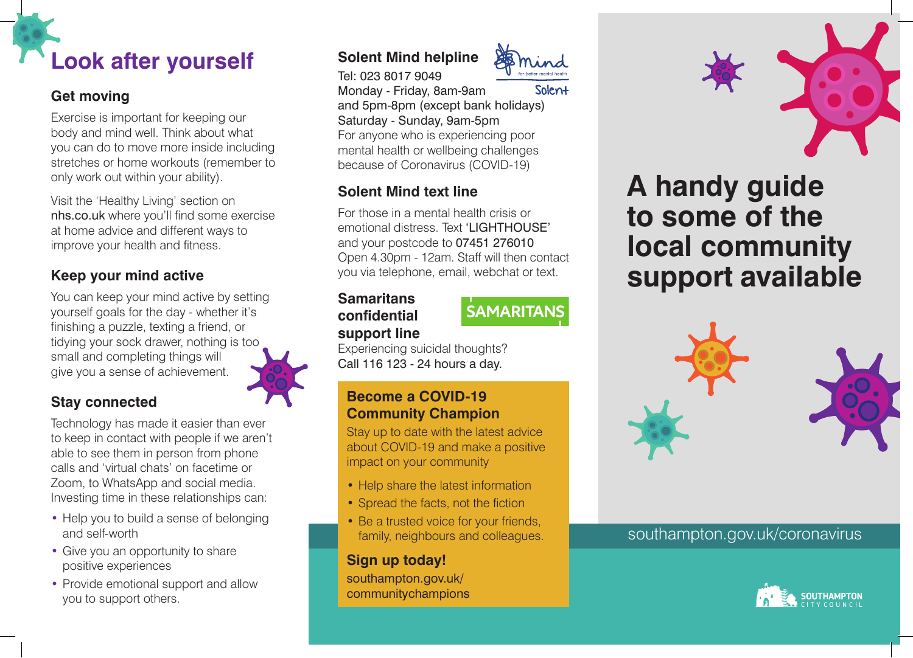

### **Get moving**

Exercise is important for keeping our body and mind well. Think about what you can do to move more inside including stretches or home workouts (remember to only work out within your ability).

Visit the 'Healthy Living' section on [nhs.co.uk](https://nhs.co.uk) where you'll find some exercise at home advice and different ways to improve your health and fitness.

# **Keep your mind active**

You can keep your mind active by setting yourself goals for the day - whether it's finishing a puzzle, texting a friend, or tidying your sock drawer, nothing is too small and completing things will give you a sense of achievement.



### **Stay connected**

Technology has made it easier than ever to keep in contact with people if we aren't able to see them in person from phone calls and 'virtual chats' on facetime or Zoom, to WhatsApp and social media. Investing time in these relationships can:

- Help you to build a sense of belonging and self-worth
- Give you an opportunity to share positive experiences
- Provide emotional support and allow you to support others.

# **Solent Mind helpline**



Tel: 023 8017 9049 Monday - Friday, 8am-9am Solen+ and 5pm-8pm (except bank holidays) Saturday - Sunday, 9am-5pm For anyone who is experiencing poor mental health or wellbeing challenges because of Coronavirus (COVID-19)

# **Solent Mind text line**

For those in a mental health crisis or emotional distress. Text 'LIGHTHOUSE' and your postcode to 07451 276010 Open 4.30pm - 12am. Staff will then contact you via telephone, email, webchat or text.

#### **Samaritans confdential support line**

# **SAMARITANS**

Experiencing suicidal thoughts? Call 116 123 - 24 hours a day.

#### **Become a COVID-19 Community Champion**

Stay up to date with the latest advice about COVID-19 and make a positive impact on your community

- Help share the latest information
- Spread the facts, not the fiction
- Be a trusted voice for your friends, family, neighbours and colleagues.

### **Sign up today!**

southampton.gov.uk/ communitychampions



# **A handy guide to some of the local community support available**



## southampton.gov.uk/coronavirus